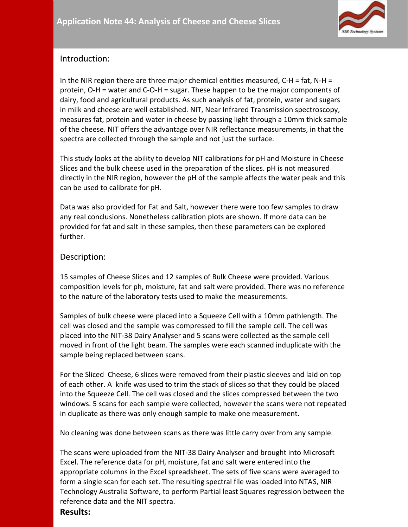

# Introduction:

In the NIR region there are three major chemical entities measured,  $C-H = fat$ ,  $N-H =$ protein, O-H = water and C-O-H = sugar. These happen to be the major components of dairy, food and agricultural products. As such analysis of fat, protein, water and sugars in milk and cheese are well established. NIT, Near Infrared Transmission spectroscopy, measures fat, protein and water in cheese by passing light through a 10mm thick sample of the cheese. NIT offers the advantage over NIR reflectance measurements, in that the spectra are collected through the sample and not just the surface.

This study looks at the ability to develop NIT calibrations for pH and Moisture in Cheese Slices and the bulk cheese used in the preparation of the slices. pH is not measured directly in the NIR region, however the pH of the sample affects the water peak and this can be used to calibrate for pH.

Data was also provided for Fat and Salt, however there were too few samples to draw any real conclusions. Nonetheless calibration plots are shown. If more data can be provided for fat and salt in these samples, then these parameters can be explored further.

## Description:

15 samples of Cheese Slices and 12 samples of Bulk Cheese were provided. Various composition levels for ph, moisture, fat and salt were provided. There was no reference to the nature of the laboratory tests used to make the measurements.

Samples of bulk cheese were placed into a Squeeze Cell with a 10mm pathlength. The cell was closed and the sample was compressed to fill the sample cell. The cell was placed into the NIT-38 Dairy Analyser and 5 scans were collected as the sample cell moved in front of the light beam. The samples were each scanned induplicate with the sample being replaced between scans.

For the Sliced Cheese, 6 slices were removed from their plastic sleeves and laid on top of each other. A knife was used to trim the stack of slices so that they could be placed into the Squeeze Cell. The cell was closed and the slices compressed between the two windows. 5 scans for each sample were collected, however the scans were not repeated in duplicate as there was only enough sample to make one measurement.

No cleaning was done between scans as there was little carry over from any sample.

The scans were uploaded from the NIT-38 Dairy Analyser and brought into Microsoft Excel. The reference data for pH, moisture, fat and salt were entered into the appropriate columns in the Excel spreadsheet. The sets of five scans were averaged to form a single scan for each set. The resulting spectral file was loaded into NTAS, NIR Technology Australia Software, to perform Partial least Squares regression between the reference data and the NIT spectra.

**Results:**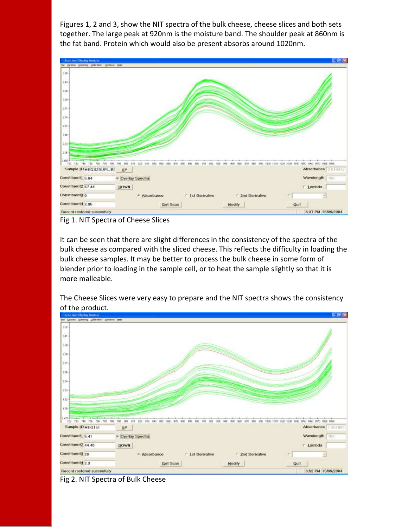Figures 1, 2 and 3, show the NIT spectra of the bulk cheese, cheese slices and both sets together. The large peak at 920nm is the moisture band. The shoulder peak at 860nm is the fat band. Protein which would also be present absorbs around 1020nm.



Fig 1. NIT Spectra of Cheese Slices

It can be seen that there are slight differences in the consistency of the spectra of the bulk cheese as compared with the sliced cheese. This reflects the difficulty in loading the bulk cheese samples. It may be better to process the bulk cheese in some form of blender prior to loading in the sample cell, or to heat the sample slightly so that it is more malleable.

The Cheese Slices were very easy to prepare and the NIT spectra shows the consistency of the product.



Fig 2. NIT Spectra of Bulk Cheese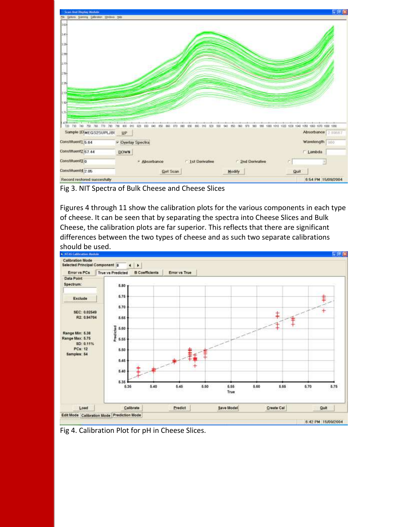

Fig 3. NIT Spectra of Bulk Cheese and Cheese Slices

Figures 4 through 11 show the calibration plots for the various components in each type of cheese. It can be seen that by separating the spectra into Cheese Slices and Bulk Cheese, the calibration plots are far superior. This reflects that there are significant differences between the two types of cheese and as such two separate calibrations



Fig 4. Calibration Plot for pH in Cheese Slices.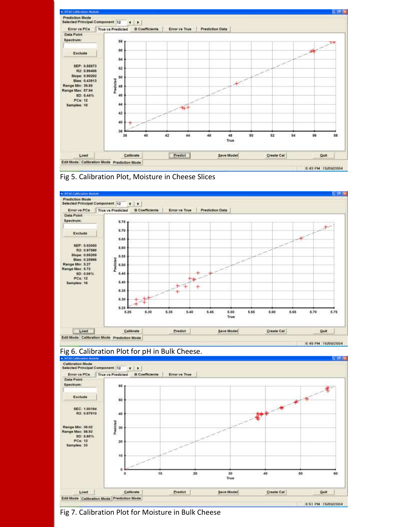





### Fig 6. Calibration Plot for pH in Bulk Cheese.



Fig 7. Calibration Plot for Moisture in Bulk Cheese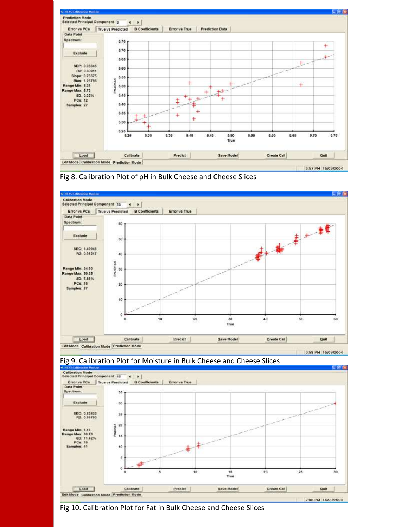







#### Fig 9. Calibration Plot for Moisture in Bulk Cheese and Cheese Slices

Fig 10. Calibration Plot for Fat in Bulk Cheese and Cheese Slices